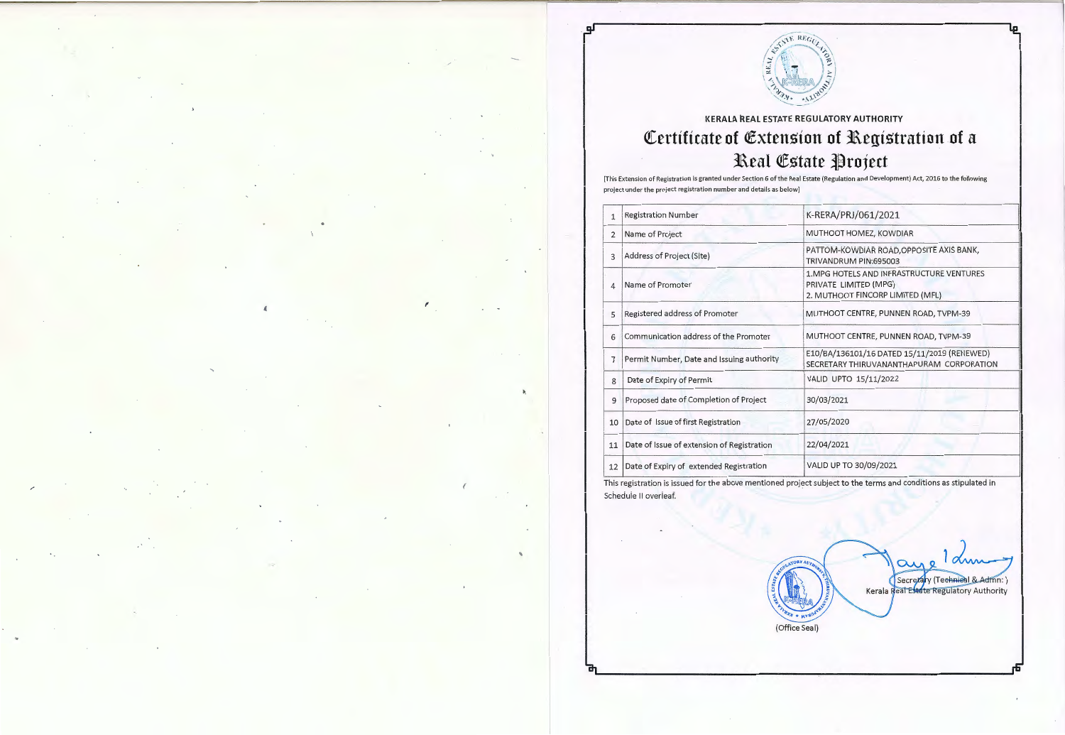

له

## **KERALA REAL ESTATE REGULATORY AUTHORITY Certificate of Extension of Registration of a 3aeal** ~state **l}roject**

[This Extension of Registration is granted under Section 6 of the Real Estate (Regulation and De velopment) Act, 2016 to the following project under the project registration number and details as below]

| 1  | <b>Registration Number</b>                 | K-RERA/PRJ/061/2021                                                                                    |
|----|--------------------------------------------|--------------------------------------------------------------------------------------------------------|
| 2  | Name of Project                            | MUTHOOT HOMEZ, KOWDIAR                                                                                 |
| 3  | Address of Project (Site)                  | PATTOM-KOWDIAR ROAD, OPPOSITE AXIS BANK,<br>TRIVANDRUM PIN:695003                                      |
| 4  | Name of Promoter                           | 1. MPG HOTELS AND INFRASTRUCTURE VENTURES<br>PRIVATE LIMITED (MPG)<br>2. MUTHOOT FINCORP LIMITED (MFL) |
| 5  | Registered address of Promoter             | MUTHOOT CENTRE, PUNNEN ROAD, TVPM-39                                                                   |
| 6  | Communication address of the Promoter      | MUTHOOT CENTRE, PUNNEN ROAD, TVPM-39                                                                   |
| 7  | Permit Number, Date and Issuing authority  | E10/BA/136101/16 DATED 15/11/2019 (RENEWED)<br>SECRETARY THIRUVANANTHAPURAM CORPORATION                |
| 8  | Date of Expiry of Permit                   | VALID UPTO 15/11/2022                                                                                  |
| 9  | Proposed date of Completion of Project     | 30/03/2021                                                                                             |
| 10 | Date of Issue of first Registration        | 27/05/2020                                                                                             |
| 11 | Date of Issue of extension of Registration | 22/04/2021                                                                                             |
| 12 | Date of Expiry of extended Registration    | VALID UP TO 30/09/2021                                                                                 |

This registration is issued for the above mentioned project subject to the terms and conditions as stipulated in Scheduie II overieaf.

(Office Seal)

Secretary (Technical & Admn:) Kerala Real Estate Regulatory Authority